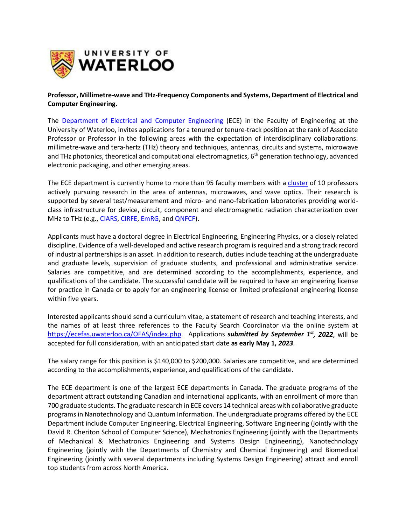

## **Professor, Millimetre-wave and THz-Frequency Components and Systems, Department of Electrical and Computer Engineering.**

The [Department of Electrical and Computer Engineering](https://uwaterloo.ca/electrical-computer-engineering/antennas-microwaves-and-wave-optics) (ECE) in the Faculty of Engineering at the University of Waterloo, invites applications for a tenured or tenure-track position at the rank of Associate Professor or Professor in the following areas with the expectation of interdisciplinary collaborations: millimetre-wave and tera-hertz (THz) theory and techniques, antennas, circuits and systems, microwave and THz photonics, theoretical and computational electromagnetics,  $6<sup>th</sup>$  generation technology, advanced electronic packaging, and other emerging areas.

The ECE department is currently home to more than 95 faculty members with a [cluster](https://uwaterloo.ca/electrical-computer-engineering/antennas-microwaves-and-wave-optics) of 10 professors actively pursuing research in the area of antennas, microwaves, and wave optics. Their research is supported by several test/measurement and micro- and nano-fabrication laboratories providing worldclass infrastructure for device, circuit, component and electromagnetic radiation characterization over MHz to THz (e.g., [CIARS,](https://uwaterloo.ca/centre-for-intelligent-antenna-and-radio-systems/) [CIRFE,](https://uwaterloo.ca/centre-integrated-rf-engineering/) [EmRG,](https://uwaterloo.ca/emerging-radio-systems-group/) and [QNFCF\)](https://uwaterloo.ca/quantum-nano-fabrication-and-characterization-facility/).

Applicants must have a doctoral degree in Electrical Engineering, Engineering Physics, or a closely related discipline. Evidence of a well-developed and active research program is required and a strong track record of industrial partnerships is an asset. In addition to research, duties include teaching at the undergraduate and graduate levels, supervision of graduate students, and professional and administrative service. Salaries are competitive, and are determined according to the accomplishments, experience, and qualifications of the candidate. The successful candidate will be required to have an engineering license for practice in Canada or to apply for an engineering license or limited professional engineering license within five years.

Interested applicants should send a curriculum vitae, a statement of research and teaching interests, and the names of at least three references to the Faculty Search Coordinator via the online system at [https://ecefas.uwaterloo.ca/OFAS/index.php.](https://ecefas.uwaterloo.ca/OFAS/index.php) Applications *submitted by September 1st, 2022*, will be accepted for full consideration, with an anticipated start date **as early May 1,** *2023*.

The salary range for this position is \$140,000 to \$200,000. Salaries are competitive, and are determined according to the accomplishments, experience, and qualifications of the candidate.

The ECE department is one of the largest ECE departments in Canada. The graduate programs of the department attract outstanding Canadian and international applicants, with an enrollment of more than 700 graduate students. The graduate research in ECE covers 14 technical areas with collaborative graduate programs in Nanotechnology and Quantum Information. The undergraduate programs offered by the ECE Department include Computer Engineering, Electrical Engineering, Software Engineering (jointly with the David R. Cheriton School of Computer Science), Mechatronics Engineering (jointly with the Departments of Mechanical & Mechatronics Engineering and Systems Design Engineering), Nanotechnology Engineering (jointly with the Departments of Chemistry and Chemical Engineering) and Biomedical Engineering (jointly with several departments including Systems Design Engineering) attract and enroll top students from across North America.